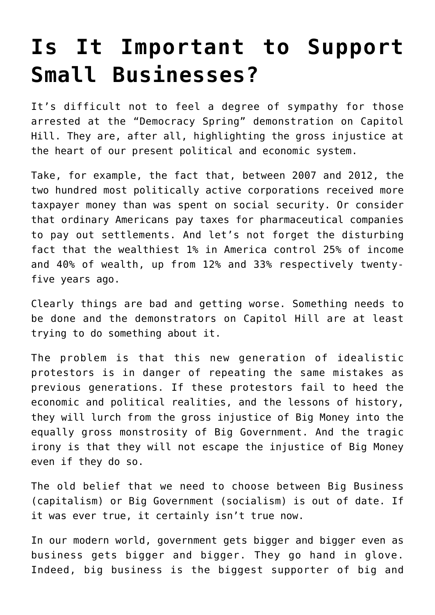## **[Is It Important to Support](https://intellectualtakeout.org/2016/04/is-it-important-to-support-small-businesses/) [Small Businesses?](https://intellectualtakeout.org/2016/04/is-it-important-to-support-small-businesses/)**

It's difficult not to feel a degree of sympathy for those arrested at the "Democracy Spring" demonstration on Capitol Hill. They are, after all, highlighting the gross injustice at the heart of our present political and economic system.

Take, for example, the fact that, between 2007 and 2012, the two hundred most politically active corporations received more taxpayer money than was spent on social security. Or consider that ordinary Americans pay taxes for pharmaceutical companies to pay out settlements. And let's not forget the disturbing fact that the wealthiest 1% in America control 25% of income and 40% of wealth, up from 12% and 33% respectively twentyfive years ago.

Clearly things are bad and getting worse. Something needs to be done and the demonstrators on Capitol Hill are at least trying to do something about it.

The problem is that this new generation of idealistic protestors is in danger of repeating the same mistakes as previous generations. If these protestors fail to heed the economic and political realities, and the lessons of history, they will lurch from the gross injustice of Big Money into the equally gross monstrosity of Big Government. And the tragic irony is that they will not escape the injustice of Big Money even if they do so.

The old belief that we need to choose between Big Business (capitalism) or Big Government (socialism) is out of date. If it was ever true, it certainly isn't true now.

In our modern world, government gets bigger and bigger even as business gets bigger and bigger. They go hand in glove. Indeed, big business is the biggest supporter of big and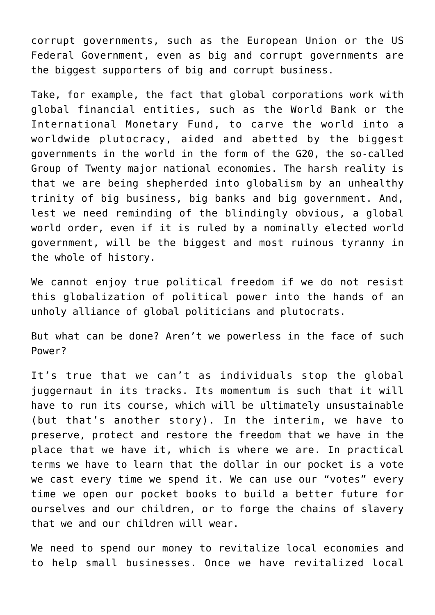corrupt governments, such as the European Union or the US Federal Government, even as big and corrupt governments are the biggest supporters of big and corrupt business.

Take, for example, the fact that global corporations work with global financial entities, such as the World Bank or the International Monetary Fund, to carve the world into a worldwide plutocracy, aided and abetted by the biggest governments in the world in the form of the G20, the so-called Group of Twenty major national economies. The harsh reality is that we are being shepherded into globalism by an unhealthy trinity of big business, big banks and big government. And, lest we need reminding of the blindingly obvious, a global world order, even if it is ruled by a nominally elected world government, will be the biggest and most ruinous tyranny in the whole of history.

We cannot enjoy true political freedom if we do not resist this globalization of political power into the hands of an unholy alliance of global politicians and plutocrats.

But what can be done? Aren't we powerless in the face of such Power?

It's true that we can't as individuals stop the global juggernaut in its tracks. Its momentum is such that it will have to run its course, which will be ultimately unsustainable (but that's another story). In the interim, we have to preserve, protect and restore the freedom that we have in the place that we have it, which is where we are. In practical terms we have to learn that the dollar in our pocket is a vote we cast every time we spend it. We can use our "votes" every time we open our pocket books to build a better future for ourselves and our children, or to forge the chains of slavery that we and our children will wear.

We need to spend our money to revitalize local economies and to help small businesses. Once we have revitalized local